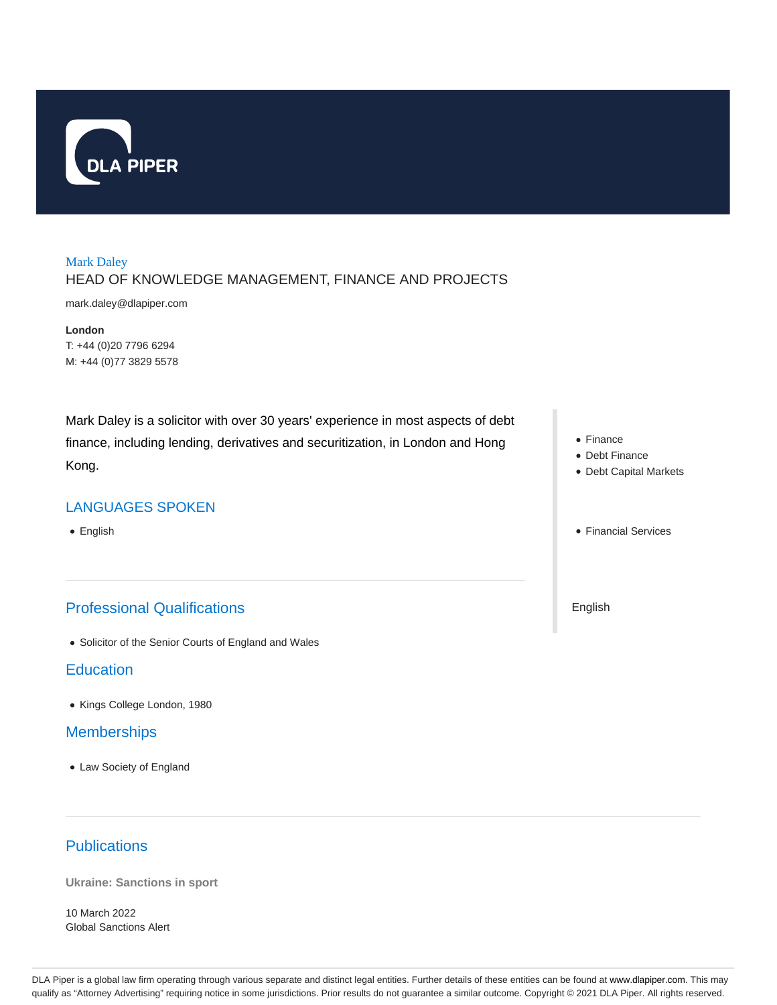

# Mark Daley HEAD OF KNOWLEDGE MANAGEMENT, FINANCE AND PROJECTS

mark.daley@dlapiper.com

**London** T: +44 (0)20 7796 6294 M: +44 (0)77 3829 5578

Mark Daley is a solicitor with over 30 years' experience in most aspects of debt finance, including lending, derivatives and securitization, in London and Hong Kong.

### LANGUAGES SPOKEN

• English

# Professional Qualifications

Solicitor of the Senior Courts of England and Wales

### **Education**

Kings College London, 1980

## **Memberships**

- Law Society of England
- **Publications**

**Ukraine: Sanctions in sport**

10 March 2022 Global Sanctions Alert

- Finance
- Debt Finance
- Debt Capital Markets
- Financial Services

English

DLA Piper is a global law firm operating through various separate and distinct legal entities. Further details of these entities can be found at www.dlapiper.com. This may qualify as "Attorney Advertising" requiring notice in some jurisdictions. Prior results do not guarantee a similar outcome. Copyright © 2021 DLA Piper. All rights reserved.